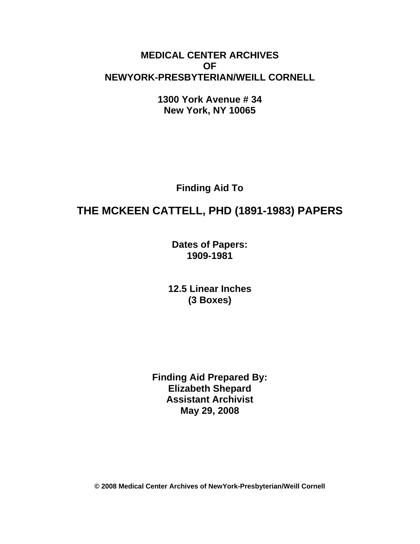## **MEDICAL CENTER ARCHIVES OF NEWYORK-PRESBYTERIAN/WEILL CORNELL**

**1300 York Avenue # 34 New York, NY 10065** 

**Finding Aid To** 

# **THE MCKEEN CATTELL, PHD (1891-1983) PAPERS**

**Dates of Papers: 1909-1981**

**12.5 Linear Inches (3 Boxes)** 

**Finding Aid Prepared By: Elizabeth Shepard Assistant Archivist May 29, 2008** 

**© 2008 Medical Center Archives of NewYork-Presbyterian/Weill Cornell**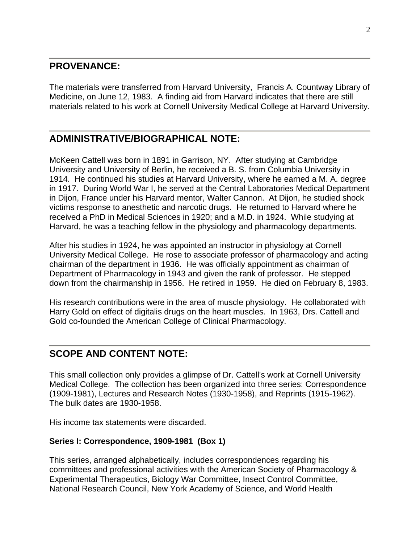## **PROVENANCE:**

The materials were transferred from Harvard University, Francis A. Countway Library of Medicine, on June 12, 1983. A finding aid from Harvard indicates that there are still materials related to his work at Cornell University Medical College at Harvard University.

## **ADMINISTRATIVE/BIOGRAPHICAL NOTE:**

McKeen Cattell was born in 1891 in Garrison, NY. After studying at Cambridge University and University of Berlin, he received a B. S. from Columbia University in 1914. He continued his studies at Harvard University, where he earned a M. A. degree in 1917. During World War I, he served at the Central Laboratories Medical Department in Dijon, France under his Harvard mentor, Walter Cannon. At Dijon, he studied shock victims response to anesthetic and narcotic drugs. He returned to Harvard where he received a PhD in Medical Sciences in 1920; and a M.D. in 1924. While studying at Harvard, he was a teaching fellow in the physiology and pharmacology departments.

After his studies in 1924, he was appointed an instructor in physiology at Cornell University Medical College. He rose to associate professor of pharmacology and acting chairman of the department in 1936. He was officially appointment as chairman of Department of Pharmacology in 1943 and given the rank of professor. He stepped down from the chairmanship in 1956. He retired in 1959. He died on February 8, 1983.

His research contributions were in the area of muscle physiology. He collaborated with Harry Gold on effect of digitalis drugs on the heart muscles. In 1963, Drs. Cattell and Gold co-founded the American College of Clinical Pharmacology.

## **SCOPE AND CONTENT NOTE:**

This small collection only provides a glimpse of Dr. Cattell's work at Cornell University Medical College. The collection has been organized into three series: Correspondence (1909-1981), Lectures and Research Notes (1930-1958), and Reprints (1915-1962). The bulk dates are 1930-1958.

His income tax statements were discarded.

### **Series I: Correspondence, 1909-1981 (Box 1)**

This series, arranged alphabetically, includes correspondences regarding his committees and professional activities with the American Society of Pharmacology & Experimental Therapeutics, Biology War Committee, Insect Control Committee, National Research Council, New York Academy of Science, and World Health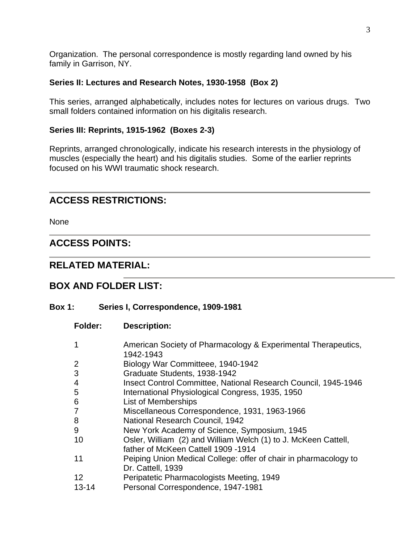Organization. The personal correspondence is mostly regarding land owned by his family in Garrison, NY.

#### **Series II: Lectures and Research Notes, 1930-1958 (Box 2)**

This series, arranged alphabetically, includes notes for lectures on various drugs. Two small folders contained information on his digitalis research.

#### **Series III: Reprints, 1915-1962 (Boxes 2-3)**

Reprints, arranged chronologically, indicate his research interests in the physiology of muscles (especially the heart) and his digitalis studies. Some of the earlier reprints focused on his WWI traumatic shock research.

## **ACCESS RESTRICTIONS:**

None

## **ACCESS POINTS:**

## **RELATED MATERIAL:**

## **BOX AND FOLDER LIST:**

#### **Box 1: Series I, Correspondence, 1909-1981**

**Folder: Description:** 

| 1         | American Society of Pharmacology & Experimental Therapeutics,    |
|-----------|------------------------------------------------------------------|
|           | 1942-1943                                                        |
| 2         | Biology War Committeee, 1940-1942                                |
| 3         | Graduate Students, 1938-1942                                     |
| 4         | Insect Control Committee, National Research Council, 1945-1946   |
| 5         | International Physiological Congress, 1935, 1950                 |
| 6         | List of Memberships                                              |
| 7         | Miscellaneous Correspondence, 1931, 1963-1966                    |
| 8         | National Research Council, 1942                                  |
| 9         | New York Academy of Science, Symposium, 1945                     |
| 10        | Osler, William (2) and William Welch (1) to J. McKeen Cattell,   |
|           | father of McKeen Cattell 1909 -1914                              |
| 11        | Peiping Union Medical College: offer of chair in pharmacology to |
|           | Dr. Cattell, 1939                                                |
| 12        | Peripatetic Pharmacologists Meeting, 1949                        |
| $13 - 14$ | Personal Correspondence, 1947-1981                               |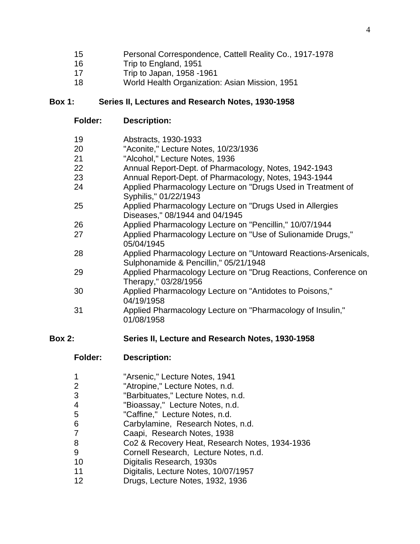- 15 Personal Correspondence, Cattell Reality Co., 1917-1978
- 16 Trip to England, 1951
- 17 Trip to Japan, 1958 -1961
- 18 World Health Organization: Asian Mission, 1951

#### **Box 1: Series II, Lectures and Research Notes, 1930-1958**

**Folder: Description:** 

| Abstracts, 1930-1933<br>19 |  |
|----------------------------|--|
|----------------------------|--|

- 20 "Aconite," Lecture Notes, 10/23/1936
- 21 "Alcohol," Lecture Notes, 1936
- 22 Annual Report-Dept. of Pharmacology, Notes, 1942-1943
- 23 Annual Report-Dept. of Pharmacology, Notes, 1943-1944
- 24 Applied Pharmacology Lecture on "Drugs Used in Treatment of Syphilis," 01/22/1943
- 25 Applied Pharmacology Lecture on "Drugs Used in Allergies Diseases," 08/1944 and 04/1945
- 26 Applied Pharmacology Lecture on "Pencillin," 10/07/1944
- 27 Applied Pharmacology Lecture on "Use of Sulionamide Drugs," 05/04/1945
- 28 Applied Pharmacology Lecture on "Untoward Reactions-Arsenicals, Sulphonamide & Pencillin," 05/21/1948
- 29 Applied Pharmacology Lecture on "Drug Reactions, Conference on Therapy," 03/28/1956
- 30 Applied Pharmacology Lecture on "Antidotes to Poisons," 04/19/1958
- 31 Applied Pharmacology Lecture on "Pharmacology of Insulin," 01/08/1958

## **Box 2: Series II, Lecture and Research Notes, 1930-1958**

- **Folder: Description:**
- 1 "Arsenic," Lecture Notes, 1941
- 2 "Atropine," Lecture Notes, n.d.
- 3 "Barbituates," Lecture Notes, n.d.
- 4 "Bioassay," Lecture Notes, n.d.
- 5 "Caffine," Lecture Notes, n.d.
- 6 Carbylamine, Research Notes, n.d.
- 7 Caapi, Research Notes, 1938
- 8 Co2 & Recovery Heat, Research Notes, 1934-1936
- 9 Cornell Research, Lecture Notes, n.d.
- 10 Digitalis Research, 1930s
- 11 Digitalis, Lecture Notes, 10/07/1957
- 12 Drugs, Lecture Notes, 1932, 1936